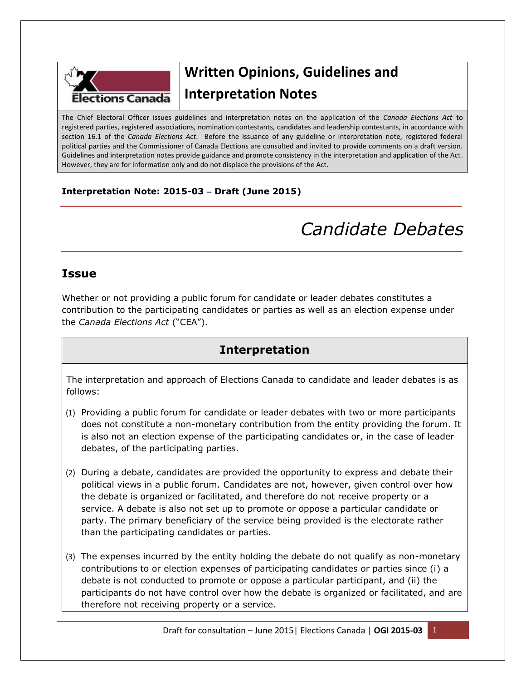

## **Written Opinions, Guidelines and Interpretation Notes**

The Chief Electoral Officer issues guidelines and interpretation notes on the application of the *Canada Elections Act* to registered parties, registered associations, nomination contestants, candidates and leadership contestants, in accordance with section 16.1 of the *Canada Elections Act*. Before the issuance of any guideline or interpretation note, registered federal political parties and the Commissioner of Canada Elections are consulted and invited to provide comments on a draft version. Guidelines and interpretation notes provide guidance and promote consistency in the interpretation and application of the Act. However, they are for information only and do not displace the provisions of the Act.

#### **Interpretation Note: 2015-03 Draft (June 2015)**

# *Candidate Debates*

#### **Issue**

Whether or not providing a public forum for candidate or leader debates constitutes a contribution to the participating candidates or parties as well as an election expense under the *Canada Elections Act* ("CEA").

### **Interpretation**

The interpretation and approach of Elections Canada to candidate and leader debates is as follows:

- (1) Providing a public forum for candidate or leader debates with two or more participants does not constitute a non-monetary contribution from the entity providing the forum. It is also not an election expense of the participating candidates or, in the case of leader debates, of the participating parties.
- (2) During a debate, candidates are provided the opportunity to express and debate their political views in a public forum. Candidates are not, however, given control over how the debate is organized or facilitated, and therefore do not receive property or a service. A debate is also not set up to promote or oppose a particular candidate or party. The primary beneficiary of the service being provided is the electorate rather than the participating candidates or parties.
- (3) The expenses incurred by the entity holding the debate do not qualify as non-monetary contributions to or election expenses of participating candidates or parties since (i) a debate is not conducted to promote or oppose a particular participant, and (ii) the participants do not have control over how the debate is organized or facilitated, and are therefore not receiving property or a service.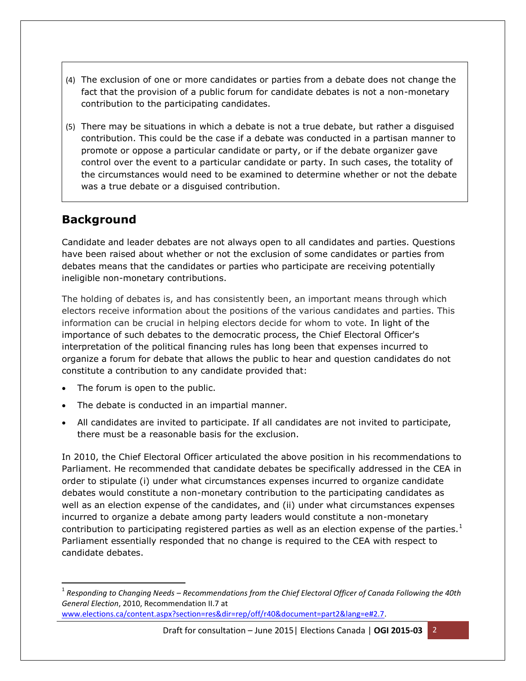- (4) The exclusion of one or more candidates or parties from a debate does not change the fact that the provision of a public forum for candidate debates is not a non-monetary contribution to the participating candidates.
- (5) There may be situations in which a debate is not a true debate, but rather a disguised contribution. This could be the case if a debate was conducted in a partisan manner to promote or oppose a particular candidate or party, or if the debate organizer gave control over the event to a particular candidate or party. In such cases, the totality of the circumstances would need to be examined to determine whether or not the debate was a true debate or a disguised contribution.

### **Background**

 $\overline{\phantom{a}}$ 

Candidate and leader debates are not always open to all candidates and parties. Questions have been raised about whether or not the exclusion of some candidates or parties from debates means that the candidates or parties who participate are receiving potentially ineligible non-monetary contributions.

The holding of debates is, and has consistently been, an important means through which electors receive information about the positions of the various candidates and parties. This information can be crucial in helping electors decide for whom to vote. In light of the importance of such debates to the democratic process, the Chief Electoral Officer's interpretation of the political financing rules has long been that expenses incurred to organize a forum for debate that allows the public to hear and question candidates do not constitute a contribution to any candidate provided that:

- The forum is open to the public.
- The debate is conducted in an impartial manner.
- All candidates are invited to participate. If all candidates are not invited to participate, there must be a reasonable basis for the exclusion.

In 2010, the Chief Electoral Officer articulated the above position in his recommendations to Parliament. He recommended that candidate debates be specifically addressed in the CEA in order to stipulate (i) under what circumstances expenses incurred to organize candidate debates would constitute a non-monetary contribution to the participating candidates as well as an election expense of the candidates, and (ii) under what circumstances expenses incurred to organize a debate among party leaders would constitute a non-monetary contribution to participating registered parties as well as an election expense of the parties.<sup>1</sup> Parliament essentially responded that no change is required to the CEA with respect to candidate debates.

Draft for consultation – June 2015| Elections Canada | **OGI 2015-03** 2

<sup>1</sup> *Responding to Changing Needs – Recommendations from the Chief Electoral Officer of Canada Following the 40th General Election*, 2010, Recommendation II.7 at

[www.elections.ca/content.aspx?section=res&dir=rep/off/r40&document=part2&lang=e#2.7.](http://www.elections.ca/content.aspx?section=res&dir=rep/off/r40&document=part2&lang=e#2.7)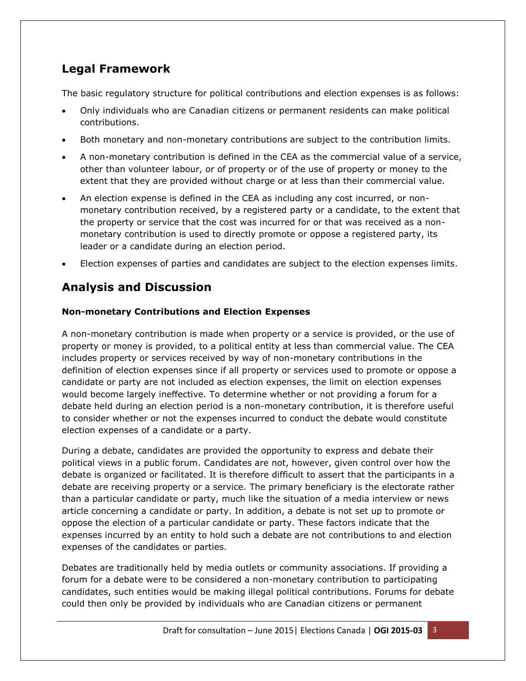## **Legal Framework**

The basic regulatory structure for political contributions and election expenses is as follows:

- Only individuals who are Canadian citizens or permanent residents can make political contributions.
- Both monetary and non-monetary contributions are subject to the contribution limits.
- A non-monetary contribution is defined in the CEA as the commercial value of a service, other than volunteer labour, or of property or of the use of property or money to the extent that they are provided without charge or at less than their commercial value.
- An election expense is defined in the CEA as including any cost incurred, or nonmonetary contribution received, by a registered party or a candidate, to the extent that the property or service that the cost was incurred for or that was received as a nonmonetary contribution is used to directly promote or oppose a registered party, its leader or a candidate during an election period.
- Election expenses of parties and candidates are subject to the election expenses limits.

## **Analysis and Discussion**

#### **Non-monetary Contributions and Election Expenses**

A non-monetary contribution is made when property or a service is provided, or the use of property or money is provided, to a political entity at less than commercial value. The CEA includes property or services received by way of non-monetary contributions in the definition of election expenses since if all property or services used to promote or oppose a candidate or party are not included as election expenses, the limit on election expenses would become largely ineffective. To determine whether or not providing a forum for a debate held during an election period is a non-monetary contribution, it is therefore useful to consider whether or not the expenses incurred to conduct the debate would constitute election expenses of a candidate or a party.

During a debate, candidates are provided the opportunity to express and debate their political views in a public forum. Candidates are not, however, given control over how the debate is organized or facilitated. It is therefore difficult to assert that the participants in a debate are receiving property or a service. The primary beneficiary is the electorate rather than a particular candidate or party, much like the situation of a media interview or news article concerning a candidate or party. In addition, a debate is not set up to promote or oppose the election of a particular candidate or party. These factors indicate that the expenses incurred by an entity to hold such a debate are not contributions to and election expenses of the candidates or parties.

Debates are traditionally held by media outlets or community associations. If providing a forum for a debate were to be considered a non-monetary contribution to participating candidates, such entities would be making illegal political contributions. Forums for debate could then only be provided by individuals who are Canadian citizens or permanent